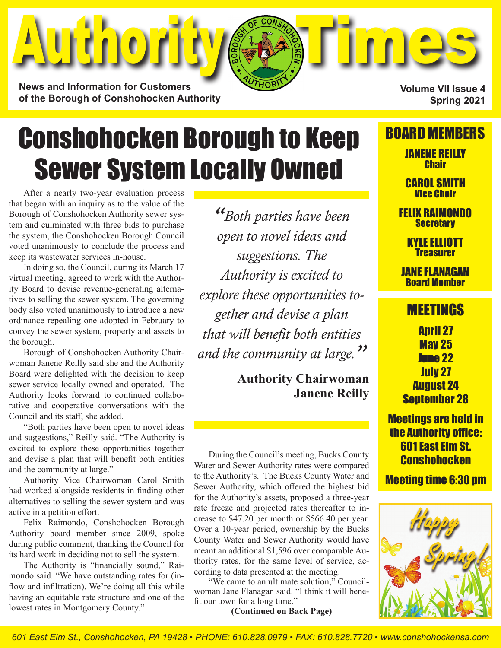

**of the Borough of Conshohocken Authority**

## Conshohocken Borough to Keep Sewer System Locally Owned

After a nearly two-year evaluation process that began with an inquiry as to the value of the Borough of Conshohocken Authority sewer system and culminated with three bids to purchase the system, the Conshohocken Borough Council voted unanimously to conclude the process and keep its wastewater services in-house.

In doing so, the Council, during its March 17 virtual meeting, agreed to work with the Authority Board to devise revenue-generating alternatives to selling the sewer system. The governing body also voted unanimously to introduce a new ordinance repealing one adopted in February to convey the sewer system, property and assets to the borough.

Borough of Conshohocken Authority Chairwoman Janene Reilly said she and the Authority Board were delighted with the decision to keep sewer service locally owned and operated. The Authority looks forward to continued collaborative and cooperative conversations with the Council and its staff, she added.

"Both parties have been open to novel ideas and suggestions," Reilly said. "The Authority is excited to explore these opportunities together and devise a plan that will benefit both entities and the community at large."

Authority Vice Chairwoman Carol Smith had worked alongside residents in finding other alternatives to selling the sewer system and was active in a petition effort.

Felix Raimondo, Conshohocken Borough Authority board member since 2009, spoke during public comment, thanking the Council for its hard work in deciding not to sell the system.

The Authority is "financially sound," Raimondo said. "We have outstanding rates for (inflow and infiltration). We're doing all this while having an equitable rate structure and one of the lowest rates in Montgomery County."

*"Both parties have been open to novel ideas and suggestions. The Authority is excited to explore these opportunities together and devise a plan that will benefit both entities and the community at large."*

> **Authority Chairwoman Janene Reilly**

During the Council's meeting, Bucks County Water and Sewer Authority rates were compared to the Authority's. The Bucks County Water and Sewer Authority, which offered the highest bid for the Authority's assets, proposed a three-year rate freeze and projected rates thereafter to increase to \$47.20 per month or \$566.40 per year. Over a 10-year period, ownership by the Bucks County Water and Sewer Authority would have meant an additional \$1,596 over comparable Authority rates, for the same level of service, according to data presented at the meeting.

"We came to an ultimate solution," Councilwoman Jane Flanagan said. "I think it will benefit our town for a long time."

**(Continued on Back Page)**

**Volume VII Issue 4 Spring 2021**

#### BOARD MEMBERS

JANENE REILLY **Chair** 

CAROL SMITH Vice Chair

FELIX RAIMONDO **Secretary** 

> KYLE ELLIOTT Treasurer

JANE FLANAGAN Board Member

### MEETINGS

April 27 May 25 June 22 July 27 August 24 September 28

Meetings are held in the Authority office: 601 East Elm St. **Conshohocken** 

Meeting time 6:30 pm



*601 East Elm St., Conshohocken, PA 19428 • PHONE: 610.828.0979 • FAX: 610.828.7720 • www.conshohockensa.com*